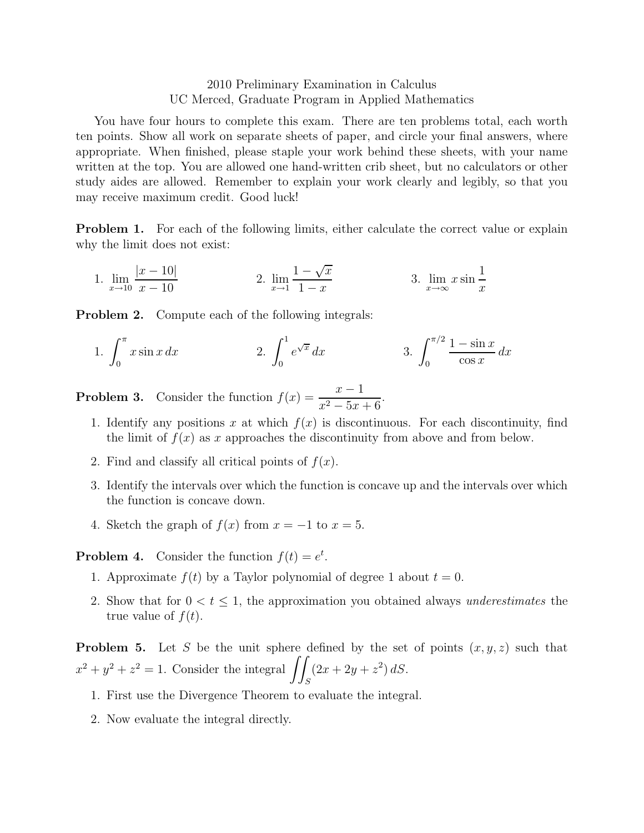## 2010 Preliminary Examination in Calculus UC Merced, Graduate Program in Applied Mathematics

You have four hours to complete this exam. There are ten problems total, each worth ten points. Show all work on separate sheets of paper, and circle your final answers, where appropriate. When finished, please staple your work behind these sheets, with your name written at the top. You are allowed one hand-written crib sheet, but no calculators or other study aides are allowed. Remember to explain your work clearly and legibly, so that you may receive maximum credit. Good luck!

**Problem 1.** For each of the following limits, either calculate the correct value or explain why the limit does not exist:

1. 
$$
\lim_{x \to 10} \frac{|x - 10|}{x - 10}
$$
 2. 
$$
\lim_{x \to 1} \frac{1 - \sqrt{x}}{1 - x}
$$
 3. 
$$
\lim_{x \to \infty} x \sin \frac{1}{x}
$$

**Problem 2.** Compute each of the following integrals:

1. 
$$
\int_0^{\pi} x \sin x \, dx
$$
  
2.  $\int_0^1 e^{\sqrt{x}} \, dx$   
3.  $\int_0^{\pi/2} \frac{1 - \sin x}{\cos x} \, dx$ 

**Problem 3.** Consider the function  $f(x) = \frac{x-1}{x^2 - 5x + 6}$ .

- 1. Identify any positions x at which  $f(x)$  is discontinuous. For each discontinuity, find the limit of  $f(x)$  as x approaches the discontinuity from above and from below.
- 2. Find and classify all critical points of  $f(x)$ .
- 3. Identify the intervals over which the function is concave up and the intervals over which the function is concave down.
- 4. Sketch the graph of  $f(x)$  from  $x = -1$  to  $x = 5$ .

**Problem 4.** Consider the function  $f(t) = e^t$ .

- 1. Approximate  $f(t)$  by a Taylor polynomial of degree 1 about  $t = 0$ .
- 2. Show that for  $0 < t \leq 1$ , the approximation you obtained always underestimates the true value of  $f(t)$ .

**Problem 5.** Let S be the unit sphere defined by the set of points  $(x, y, z)$  such that  $x^2 + y^2 + z^2 = 1$ . Consider the integral  $\int$ S  $(2x + 2y + z^2) dS.$ 

- 1. First use the Divergence Theorem to evaluate the integral.
- 2. Now evaluate the integral directly.